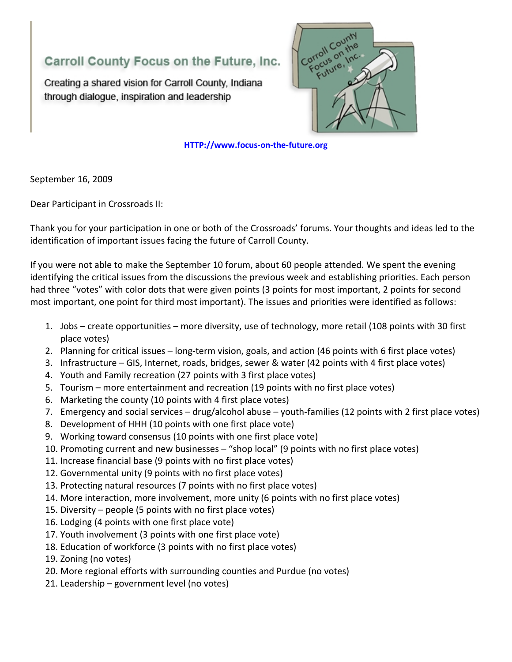## Carroll County Focus on the Future, Inc.

Creating a shared vision for Carroll County, Indiana through dialogue, inspiration and leadership



**[HTTP://www.focus-on-the-future.org](http://www.focus-on-the-future.org/)**

September 16, 2009

Dear Participant in Crossroads II:

Thank you for your participation in one or both of the Crossroads' forums. Your thoughts and ideas led to the identification of important issues facing the future of Carroll County.

If you were not able to make the September 10 forum, about 60 people attended. We spent the evening identifying the critical issues from the discussions the previous week and establishing priorities. Each person had three "votes" with color dots that were given points (3 points for most important, 2 points for second most important, one point for third most important). The issues and priorities were identified as follows:

- 1. Jobs create opportunities more diversity, use of technology, more retail (108 points with 30 first place votes)
- 2. Planning for critical issues long-term vision, goals, and action (46 points with 6 first place votes)
- 3. Infrastructure GIS, Internet, roads, bridges, sewer & water (42 points with 4 first place votes)
- 4. Youth and Family recreation (27 points with 3 first place votes)
- 5. Tourism more entertainment and recreation (19 points with no first place votes)
- 6. Marketing the county (10 points with 4 first place votes)
- 7. Emergency and social services drug/alcohol abuse youth-families (12 points with 2 first place votes)
- 8. Development of HHH (10 points with one first place vote)
- 9. Working toward consensus (10 points with one first place vote)
- 10. Promoting current and new businesses "shop local" (9 points with no first place votes)
- 11. Increase financial base (9 points with no first place votes)
- 12. Governmental unity (9 points with no first place votes)
- 13. Protecting natural resources (7 points with no first place votes)
- 14. More interaction, more involvement, more unity (6 points with no first place votes)
- 15. Diversity people (5 points with no first place votes)
- 16. Lodging (4 points with one first place vote)
- 17. Youth involvement (3 points with one first place vote)
- 18. Education of workforce (3 points with no first place votes)
- 19. Zoning (no votes)
- 20. More regional efforts with surrounding counties and Purdue (no votes)
- 21. Leadership government level (no votes)